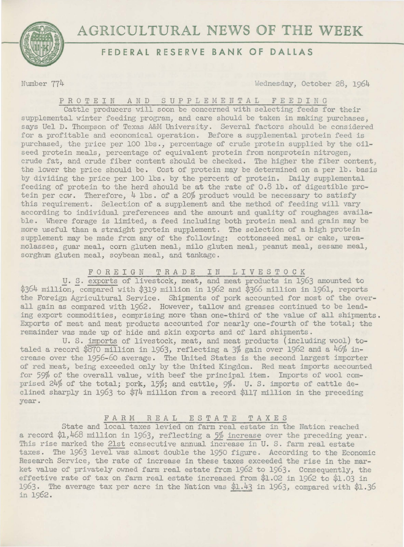

# **FEDERAL RESERVE BANK OF DALLAS**

Number 774 Hednesday, October 28, 1964

PROTEIN AND SUPPLEMENTAL FEEDING

Cattle producers will soon be concerned with selecting feeds for their supplemental winter feeding program, and care should be taken in making purchases, says Uel D. Thompson of Texas A&M University. Several factors should be considered for a profitable and economical operation. Before a supplemental protein feed is purchased, the price per 100 lbs., percentage of crude protein supplied by the oilseed protein meals, percentage of equivalent protein from nonprotein nitrogen, crude fat, and crude fiber content should be checked. The higher the fiber content; the lower the price should be. Cost of protein may be determined on a per lb. basis by dividing the price per 100 lbs. by the percent of protein. Daily supplemental feeding of protein to the herd should be at the rate of 0.8 lb. of digestible protein per cow. Therefore, 4 lbs. of a 20% product would be necessary to satisfy this requirement. Selection of a supplement and the method of feeding will vary according to individual preferences and the amount and quality of roughages available. Where forage is limited, a feed including both protein meal and grain may be more useful than a straight protein supplement. The selection of a high protein supplement may be made from any of the following: cottonseed meal or cake, ureamolass es, guar meal, corn gluten meal, milo gluten meal; peanut meal, sesame meal, sorghum gluten meal, soybean meal, and tankage.

FOREIGN TRADE IN LIVESTOCK

U. S. exports of livestock, meat, and meat products in 1963 amounted to \$364 million, compared with \$319 million in 1962 and \$366 million in 1961, reports the Foreign Agricultural Service. Shipments of pork accounted for most of the overall gain as compared with 1962. However, tallow and greases continued to be leading export commodities, comprising more than one-third of the value of all shipments. Exports of meat and meat products accounted for nearly one-fourth of the total; the remainder was made up of hide and skin exports and of lard shipments.

U. S. imports of livestock, meat, and meat products (including wool) totaled a record \$870 million in 1963, reflecting a 3% gain over 1962 and a 46% increase over the 1956-60 average. The United States is the second largest importer of red meat, being exceeded only by the United Kingdom. Red meat imports accounted for 59% of the overall value, with beef the principal item. Imports of wool comprised 24% of the total; pork, 15%; and cattle, 9%. U. S. imports of cattle declined sharply in 1963 to \$74 million from a record \$117 million in the preceding year.

## FARM RE AL ESTATE TAXES

State and local taxes levied on farm real estate in the Nation reached a record \$1,468 million in 1963, reflecting a 5% increase over the preceding year. This rise marked the 21st consecutive annual increase in U. S. farm real estate taxes. The 1963 level was almost double the 1950 figure. According to the Economic Research Service, the rate of increase in these taxes exceeded the rise in the market value of privately owned farm real estate from 1962 to 1963. Consequently, the effective rate of tax on farm real estate increased from \$1.02 in 1962 to \$1.03 in 1963. The average tax per acre in the Nation was  $\underline{\$1.43}$  in 1963, compared with  $\$1.5$  in 1962. 1963. The average tax per acre in the Nation was  $$1.43$  in 1963, compared with \$1.36 in 1962.